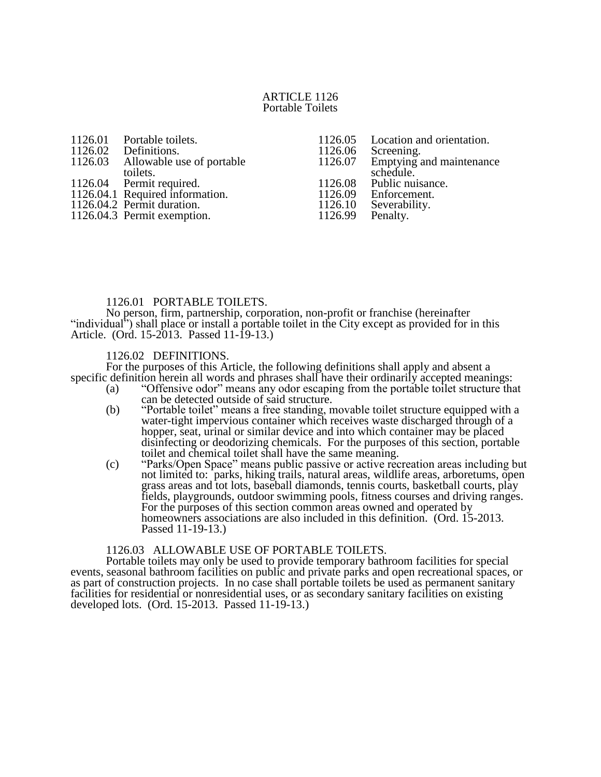#### ARTICLE 1126 Portable Toilets

- 1126.01 Portable toilets.<br>1126.02 Definitions.
- 1126.02 Definitions.<br>1126.03 Allowable u
- Allowable use of portable

toilets. 1126.04 Permit required.

- 1126.04.1 Required information.
- 
- 1126.04.2 Permit duration.
- 1126.04.3 Permit exemption.
- 1126.05 Location and orientation.<br>1126.06 Screening. 1126.06 Screening.<br>1126.07 Emptying Emptying and maintenance schedule. 1126.08 Public nuisance.<br>1126.09 Enforcement. 1126.09 Enforcement.<br>1126.10 Severability.
- Severability.<br>Penalty. 1126.99

### 1126.01 PORTABLE TOILETS.

No person, firm, partnership, corporation, non-profit or franchise (hereinafter "individual") shall place or install a portable toilet in the City except as provided for in this Article. (Ord. 15-2013. Passed 11-19-13.)

## 1126.02 DEFINITIONS.

For the purposes of this Article, the following definitions shall apply and absent a specific definition herein all words and phrases shall have their ordinarily accepted meanings:

- (a) "Offensive odor" means any odor escaping from the portable toilet structure that can be detected outside of said structure.
- (b) "Portable toilet" means a free standing, movable toilet structure equipped with a water-tight impervious container which receives waste discharged through of a hopper, seat, urinal or similar device and into which container may be placed disinfecting or deodorizing chemicals. For the purposes of this section, portable toilet and chemical toilet shall have the same meaning.
- (c) "Parks/Open Space" means public passive or active recreation areas including but not limited to: parks, hiking trails, natural areas, wildlife areas, arboretums, open grass areas and tot lots, baseball diamonds, tennis courts, basketball courts, play fields, playgrounds, outdoor swimming pools, fitness courses and driving ranges. For the purposes of this section common areas owned and operated by homeowners associations are also included in this definition. (Ord. 15-2013. Passed 11-19-13.)

### 1126.03 ALLOWABLE USE OF PORTABLE TOILETS.

Portable toilets may only be used to provide temporary bathroom facilities for special events, seasonal bathroom facilities on public and private parks and open recreational spaces, or as part of construction projects. In no case shall portable toilets be used as permanent sanitary facilities for residential or nonresidential uses, or as secondary sanitary facilities on existing developed lots. (Ord. 15-2013. Passed 11-19-13.)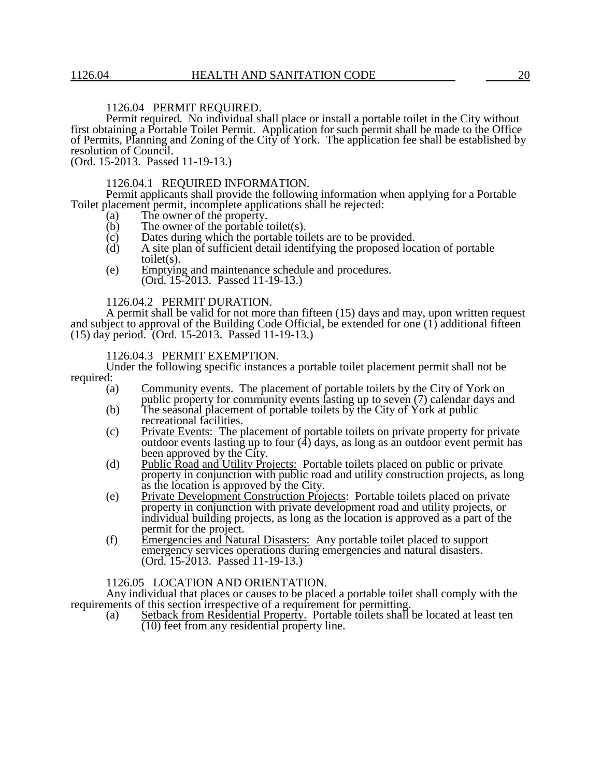# 1126.04 PERMIT REQUIRED.

Permit required. No individual shall place or install a portable toilet in the City without first obtaining a Portable Toilet Permit. Application for such permit shall be made to the Office of Permits, Planning and Zoning of the City of York. The application fee shall be established by resolution of Council.

(Ord. 15-2013. Passed 11-19-13.)

#### 1126.04.1 REQUIRED INFORMATION.

Permit applicants shall provide the following information when applying for a Portable Toilet placement permit, incomplete applications shall be rejected:

- (a) The owner of the property.<br>(b) The owner of the portable t
- $(b)$  The owner of the portable toilet(s).<br>  $(c)$  Dates during which the portable toi
- $\begin{array}{ll}\n\text{(c)} & \text{Dates during which the portable toilets are to be provided.} \\
\text{(d)} & \text{A site plan of sufficient detail identifying the proposed loc}\n\end{array}$
- A site plan of sufficient detail identifying the proposed location of portable toilet $(s)$ .
- (e) Emptying and maintenance schedule and procedures. (Ord. 15-2013. Passed 11-19-13.)

1126.04.2 PERMIT DURATION.

A permit shall be valid for not more than fifteen (15) days and may, upon written request and subject to approval of the Building Code Official, be extended for one (1) additional fifteen (15) day period. (Ord. 15-2013. Passed 11-19-13.)

#### 1126.04.3 PERMIT EXEMPTION.

Under the following specific instances a portable toilet placement permit shall not be required:

- (a) Community events. The placement of portable toilets by the City of York on public property for community events lasting up to seven (7) calendar days and
- (b) The seasonal placement of portable toilets by the City of York at public recreational facilities.
- (c) Private Events: The placement of portable toilets on private property for private outdoor events lasting up to four  $(4)$  days, as long as an outdoor event permit has been approved by the City.
- (d) Public Road and Utility Projects: Portable toilets placed on public or private property in conjunction with public road and utility construction projects, as long as the location is approved by the City.
- (e) Private Development Construction Projects: Portable toilets placed on private property in conjunction with private development road and utility projects, or individual building projects, as long as the location is approved as a part of the permit for the project.
- (f) Emergencies and Natural Disasters: Any portable toilet placed to support emergency services operations during emergencies and natural disasters. (Ord. 15-2013. Passed 11-19-13.)

#### 1126.05 LOCATION AND ORIENTATION.

Any individual that places or causes to be placed a portable toilet shall comply with the requirements of this section irrespective of a requirement for permitting.

(a) Setback from Residential Property. Portable toilets shall be located at least ten  $(10)$  feet from any residential property line.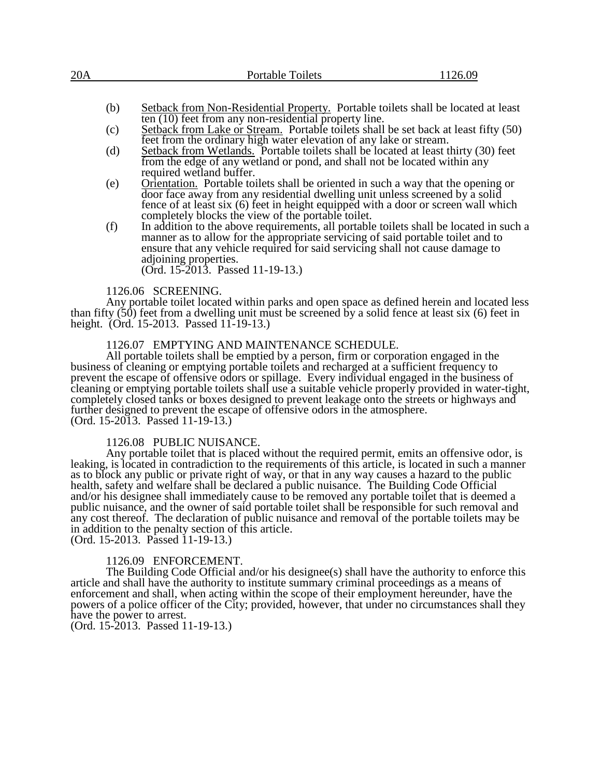| Setback from Non-Residential Property. Portable toilets shall be located at least<br>(b)                                                                        |  |
|-----------------------------------------------------------------------------------------------------------------------------------------------------------------|--|
| ten (10) feet from any non-residential property line.                                                                                                           |  |
| Setback from Lake or Stream. Portable toilets shall be set back at least fifty (50)<br>(c)<br>feet from the ordinary high water elevation of eny lake or stroom |  |

- feet from the ordinary high water elevation of any lake or stream. (d) Setback from Wetlands. Portable toilets shall be located at least thirty (30) feet from the edge of any wetland or pond, and shall not be located within any required wetland buffer.
- (e) Orientation. Portable toilets shall be oriented in such a way that the opening or door face away from any residential dwelling unit unless screened by a solid fence of at least six (6) feet in height equipped with a door or screen wall which completely blocks the view of the portable toilet.
- (f) In addition to the above requirements, all portable toilets shall be located in such a manner as to allow for the appropriate servicing of said portable toilet and to ensure that any vehicle required for said servicing shall not cause damage to adjoining properties.

(Ord. 15-2013. Passed 11-19-13.)

#### 1126.06 SCREENING.

Any portable toilet located within parks and open space as defined herein and located less than fifty  $(50)$  feet from a dwelling unit must be screened by a solid fence at least six  $(6)$  feet in height. (Ord. 15-2013. Passed 11-19-13.)

### 1126.07 EMPTYING AND MAINTENANCE SCHEDULE.

All portable toilets shall be emptied by a person, firm or corporation engaged in the business of cleaning or emptying portable toilets and recharged at a sufficient frequency to prevent the escape of offensive odors or spillage. Every individual engaged in the business of cleaning or emptying portable toilets shall use a suitable vehicle properly provided in water-tight, completely closed tanks or boxes designed to prevent leakage onto the streets or highways and further designed to prevent the escape of offensive odors in the atmosphere. (Ord. 15-2013. Passed 11-19-13.)

#### 1126.08 PUBLIC NUISANCE.

Any portable toilet that is placed without the required permit, emits an offensive odor, is leaking, is located in contradiction to the requirements of this article, is located in such a manner as to block any public or private right of way, or that in any way causes a hazard to the public health, safety and welfare shall be declared a public nuisance. The Building Code Official and/or his designee shall immediately cause to be removed any portable toilet that is deemed a public nuisance, and the owner of said portable toilet shall be responsible for such removal and any cost thereof. The declaration of public nuisance and removal of the portable toilets may be in addition to the penalty section of this article. (Ord. 15-2013. Passed 11-19-13.)

# 1126.09 ENFORCEMENT.

The Building Code Official and/or his designee(s) shall have the authority to enforce this article and shall have the authority to institute summary criminal proceedings as a means of enforcement and shall, when acting within the scope of their employment hereunder, have the powers of a police officer of the City; provided, however, that under no circumstances shall they have the power to arrest.

(Ord. 15-2013. Passed 11-19-13.)